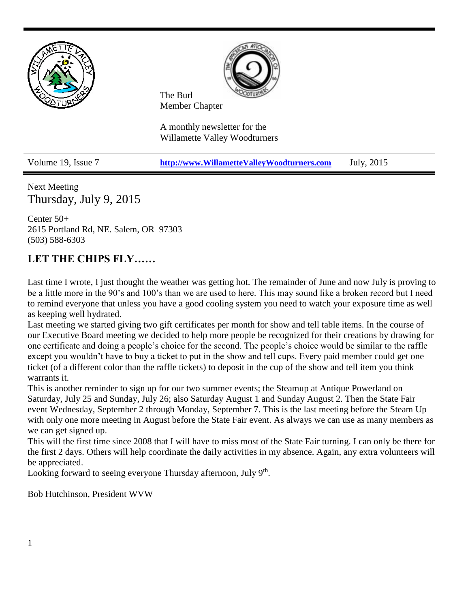



The Burl Member Chapter

A monthly newsletter for the Willamette Valley Woodturners

Volume 19, Issue 7 **[http://www.WillametteValleyWoodturners.com](http://www.willamettevalleywoodturners.com/)** July, 2015

Next Meeting Thursday, July 9, 2015

Center 50+ 2615 Portland Rd, NE. Salem, OR 97303 (503) 588-6303

## **LET THE CHIPS FLY……**

Last time I wrote, I just thought the weather was getting hot. The remainder of June and now July is proving to be a little more in the 90's and 100's than we are used to here. This may sound like a broken record but I need to remind everyone that unless you have a good cooling system you need to watch your exposure time as well as keeping well hydrated.

Last meeting we started giving two gift certificates per month for show and tell table items. In the course of our Executive Board meeting we decided to help more people be recognized for their creations by drawing for one certificate and doing a people's choice for the second. The people's choice would be similar to the raffle except you wouldn't have to buy a ticket to put in the show and tell cups. Every paid member could get one ticket (of a different color than the raffle tickets) to deposit in the cup of the show and tell item you think warrants it.

This is another reminder to sign up for our two summer events; the Steamup at Antique Powerland on Saturday, July 25 and Sunday, July 26; also Saturday August 1 and Sunday August 2. Then the State Fair event Wednesday, September 2 through Monday, September 7. This is the last meeting before the Steam Up with only one more meeting in August before the State Fair event. As always we can use as many members as we can get signed up.

This will the first time since 2008 that I will have to miss most of the State Fair turning. I can only be there for the first 2 days. Others will help coordinate the daily activities in my absence. Again, any extra volunteers will be appreciated.

Looking forward to seeing everyone Thursday afternoon, July 9<sup>th</sup>.

Bob Hutchinson, President WVW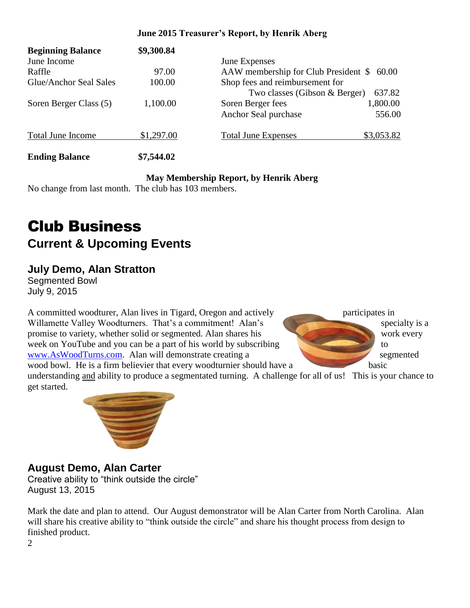### **June 2015 Treasurer's Report, by Henrik Aberg**

| <b>Beginning Balance</b> | \$9,300.84 |                                               |            |
|--------------------------|------------|-----------------------------------------------|------------|
| June Income              |            | June Expenses                                 |            |
| Raffle                   | 97.00      | AAW membership for Club President \$<br>60.00 |            |
| Glue/Anchor Seal Sales   | 100.00     | Shop fees and reimbursement for               |            |
|                          |            | 637.82<br>Two classes (Gibson & Berger)       |            |
| Soren Berger Class (5)   | 1,100.00   | Soren Berger fees                             | 1,800.00   |
|                          |            | Anchor Seal purchase                          | 556.00     |
| <b>Total June Income</b> | \$1,297.00 | <b>Total June Expenses</b>                    | \$3,053.82 |
| <b>Ending Balance</b>    | \$7,544.02 |                                               |            |

### **May Membership Report, by Henrik Aberg**

No change from last month. The club has 103 members.

# Club Business **Current & Upcoming Events**

### **July Demo, Alan Stratton**

Segmented Bowl July 9, 2015

A committed woodturer, Alan lives in Tigard, Oregon and actively participates in Willamette Valley Woodturners. That's a commitment! Alan's specialty is a promise to variety, whether solid or segmented. Alan shares his work every week on YouTube and you can be a part of his world by subscribing to [www.AsWoodTurns.com.](http://www.aswoodturns.com/) Alan will demonstrate creating a segmented

wood bowl. He is a firm believier that every woodturnier should have a basic understanding and ability to produce a segmentated turning. A challenge for all of us! This is your chance to get started.



## **August Demo, Alan Carter**

Creative ability to "think outside the circle" August 13, 2015

Mark the date and plan to attend. Our August demonstrator will be Alan Carter from North Carolina. Alan will share his creative ability to "think outside the circle" and share his thought process from design to finished product.

2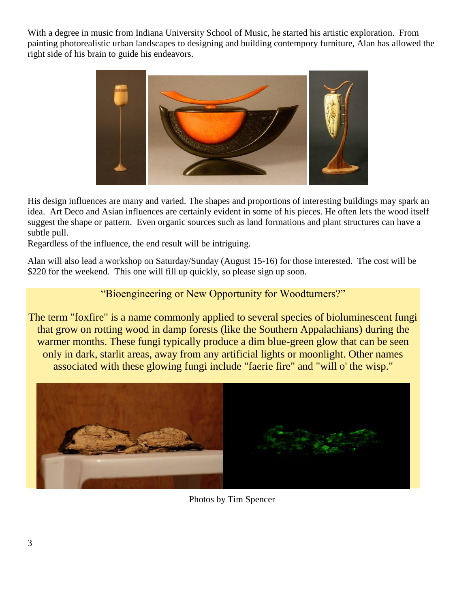With a degree in music from Indiana University School of Music, he started his artistic exploration. From painting photorealistic urban landscapes to designing and building contempory furniture, Alan has allowed the right side of his brain to guide his endeavors.



His design influences are many and varied. The shapes and proportions of interesting buildings may spark an idea. Art Deco and Asian influences are certainly evident in some of his pieces. He often lets the wood itself suggest the shape or pattern. Even organic sources such as land formations and plant structures can have a subtle pull.

Regardless of the influence, the end result will be intriguing.

Alan will also lead a workshop on Saturday/Sunday (August 15-16) for those interested. The cost will be \$220 for the weekend. This one will fill up quickly, so please sign up soon.

### "Bioengineering or New Opportunity for Woodturners?"

The term "foxfire" is a name commonly applied to several species of bioluminescent fungi that grow on rotting wood in damp forests (like the Southern Appalachians) during the warmer months. These fungi typically produce a dim blue-green glow that can be seen only in dark, starlit areas, away from any artificial lights or moonlight. Other names associated with these glowing fungi include "faerie fire" and "will o' the wisp."



Photos by Tim Spencer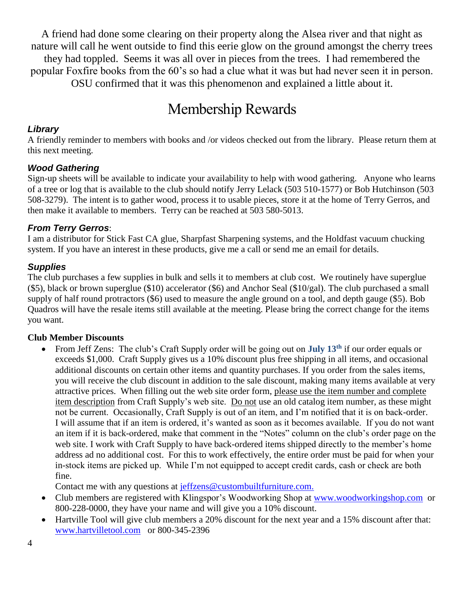A friend had done some clearing on their property along the Alsea river and that night as nature will call he went outside to find this eerie glow on the ground amongst the cherry trees they had toppled. Seems it was all over in pieces from the trees. I had remembered the popular Foxfire books from the 60's so had a clue what it was but had never seen it in person. OSU confirmed that it was this phenomenon and explained a little about it.

## Membership Rewards

### *Library*

A friendly reminder to members with books and /or videos checked out from the library. Please return them at this next meeting.

### *Wood Gathering*

Sign-up sheets will be available to indicate your availability to help with wood gathering. Anyone who learns of a tree or log that is available to the club should notify Jerry Lelack (503 510-1577) or Bob Hutchinson (503 508-3279). The intent is to gather wood, process it to usable pieces, store it at the home of Terry Gerros, and then make it available to members. Terry can be reached at 503 580-5013.

### *From Terry Gerros*:

I am a distributor for Stick Fast CA glue, Sharpfast Sharpening systems, and the Holdfast vacuum chucking system. If you have an interest in these products, give me a call or send me an email for details.

### *Supplies*

The club purchases a few supplies in bulk and sells it to members at club cost. We routinely have superglue (\$5), black or brown superglue (\$10) accelerator (\$6) and Anchor Seal (\$10/gal). The club purchased a small supply of half round protractors (\$6) used to measure the angle ground on a tool, and depth gauge (\$5). Bob Quadros will have the resale items still available at the meeting. Please bring the correct change for the items you want.

### **Club Member Discounts**

 From Jeff Zens: The club's Craft Supply order will be going out on **July 13th** if our order equals or exceeds \$1,000. Craft Supply gives us a 10% discount plus free shipping in all items, and occasional additional discounts on certain other items and quantity purchases. If you order from the sales items, you will receive the club discount in addition to the sale discount, making many items available at very attractive prices. When filling out the web site order form, please use the item number and complete item description from Craft Supply's web site. Do not use an old catalog item number, as these might not be current. Occasionally, Craft Supply is out of an item, and I'm notified that it is on back-order. I will assume that if an item is ordered, it's wanted as soon as it becomes available. If you do not want an item if it is back-ordered, make that comment in the "Notes" column on the club's order page on the web site. I work with Craft Supply to have back-ordered items shipped directly to the member's home address ad no additional cost. For this to work effectively, the entire order must be paid for when your in-stock items are picked up. While I'm not equipped to accept credit cards, cash or check are both fine.

Contact me with any questions at [jeffzens@custombuiltfurniture.com.](mailto:jeffzens@custombuiltfurniture.com.)

- Club members are registered with Klingspor's Woodworking Shop at [www.woodworkingshop.com](http://www.woodworkingshop.com/) or 800-228-0000, they have your name and will give you a 10% discount.
- Hartville Tool will give club members a 20% discount for the next year and a 15% discount after that: [www.hartvilletool.com](http://www.hartvilletool.com/) or 800-345-2396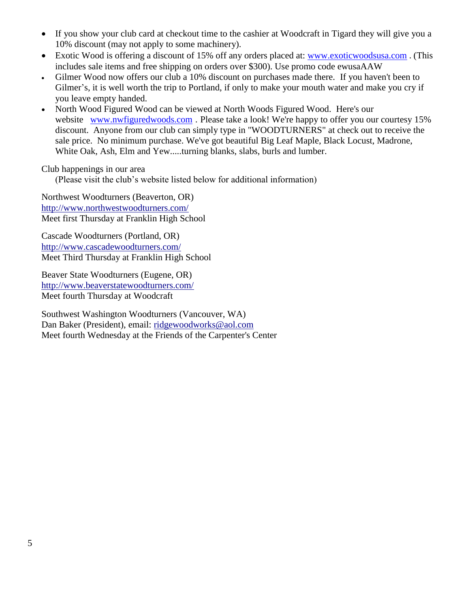- If you show your club card at checkout time to the cashier at Woodcraft in Tigard they will give you a 10% discount (may not apply to some machinery).
- Exotic Wood is offering a discount of 15% off any orders placed at: [www.exoticwoodsusa.com](http://www.exoticwoodsusa.com/) . (This includes sale items and free shipping on orders over \$300). Use promo code ewusaAAW
- Gilmer Wood now offers our club a 10% discount on purchases made there. If you haven't been to Gilmer's, it is well worth the trip to Portland, if only to make your mouth water and make you cry if you leave empty handed.
- North Wood Figured Wood can be viewed at North Woods Figured Wood. Here's our website [www.nwfiguredwoods.com](http://www.nwfiguredwoods.com/). Please take a look! We're happy to offer you our courtesy 15% discount. Anyone from our club can simply type in "WOODTURNERS" at check out to receive the sale price. No minimum purchase. We've got beautiful Big Leaf Maple, Black Locust, Madrone, White Oak, Ash, Elm and Yew.....turning blanks, slabs, burls and lumber.

Club happenings in our area

(Please visit the club's website listed below for additional information)

Northwest Woodturners (Beaverton, OR) <http://www.northwestwoodturners.com/> Meet first Thursday at Franklin High School

Cascade Woodturners (Portland, OR) <http://www.cascadewoodturners.com/> Meet Third Thursday at Franklin High School

Beaver State Woodturners (Eugene, OR) <http://www.beaverstatewoodturners.com/> Meet fourth Thursday at Woodcraft

Southwest Washington Woodturners (Vancouver, WA) Dan Baker (President), email: [ridgewoodworks@aol.com](mailto:ridgewoodworks@aol.com) Meet fourth Wednesday at the Friends of the Carpenter's Center